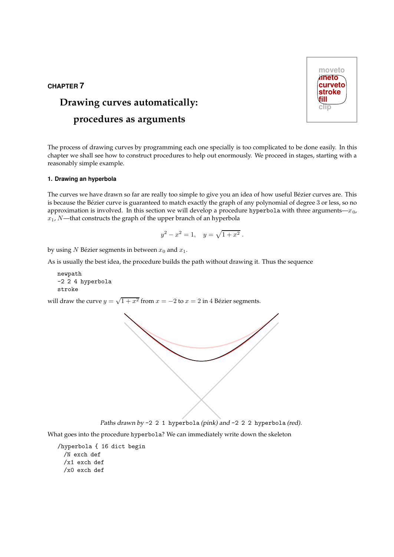# CHAPTER 7

# Drawing curves automatically: procedures as arguments

The process of drawing curves by programming each one specially is too complicated to be done easily. In this chapter we shall see how to construct procedures to help out enormously. We proceed in stages, starting with a reasonably simple example.

# 1. Drawing an hyperbola

The curves we have drawn so far are really too simple to give you an idea of how useful Bézier curves are. This is because the Bézier curve is guaranteed to match exactly the graph of any polynomial of degree 3 or less, so no approximation is involved. In this section we will develop a procedure hyperbola with three arguments— $x_0$ ,  $x_1$ , N—that constructs the graph of the upper branch of an hyperbola

$$
y^2 - x^2 = 1, \quad y = \sqrt{1 + x^2} \, .
$$

by using N Bézier segments in between  $x_0$  and  $x_1$ .

As is usually the best idea, the procedure builds the path without drawing it. Thus the sequence

```
newpath
-2 2 4 hyperbola
stroke
```
will draw the curve  $y = \sqrt{1 + x^2}$  from  $x = -2$  to  $x = 2$  in 4 Bézier segments.



Paths drawn by -2 2 1 hyperbola (pink) and -2 2 2 hyperbola (red).

What goes into the procedure hyperbola? We can immediately write down the skeleton

/hyperbola { 16 dict begin /N exch def /x1 exch def /x0 exch def

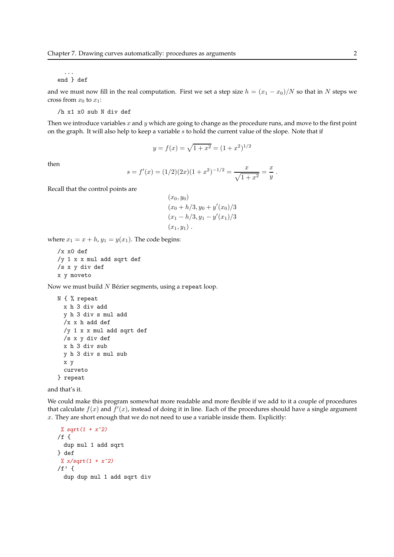#### ... end } def

and we must now fill in the real computation. First we set a step size  $h = (x_1 - x_0)/N$  so that in N steps we cross from  $x_0$  to  $x_1$ :

/h x1 x0 sub N div def

Then we introduce variables  $x$  and  $y$  which are going to change as the procedure runs, and move to the first point on the graph. It will also help to keep a variable  $s$  to hold the current value of the slope. Note that if

$$
y = f(x) = \sqrt{1 + x^2} = (1 + x^2)^{1/2}
$$

then

$$
s = f'(x) = (1/2)(2x)(1+x^2)^{-1/2} = \frac{x}{\sqrt{1+x^2}} = \frac{x}{y}
$$

.

Recall that the control points are

$$
(x_0, y_0)
$$
  
\n
$$
(x_0 + h/3, y_0 + y'(x_0)/3
$$
  
\n
$$
(x_1 - h/3, y_1 - y'(x_1)/3
$$
  
\n
$$
(x_1, y_1).
$$

where  $x_1 = x + h$ ,  $y_1 = y(x_1)$ . The code begins:

```
/x x0 def
/y 1 x x mul add sqrt def
/s x y div def
x y moveto
```
Now we must build  $N$  Bézier segments, using a repeat loop.

```
N { % repeat
 x h 3 div add
 y h 3 div s mul add
 /x x h add def
 /y 1 x x mul add sqrt def
 /s x y div def
 x h 3 div sub
 y h 3 div s mul sub
 x y
 curveto
} repeat
```
and that's it.

We could make this program somewhat more readable and more flexible if we add to it a couple of procedures that calculate  $f(x)$  and  $\tilde{f}'(x)$ , instead of doing it in line. Each of the procedures should have a single argument  $x$ . They are short enough that we do not need to use a variable inside them. Explicitly:

```
% sqrt(1 + x^2)/f \{dup mul 1 add sqrt
} def
 \frac{\% x}{\sqrt{2}} x/sqrt(1 + x<sup>2</sup>)
/f' \{dup dup mul 1 add sqrt div
```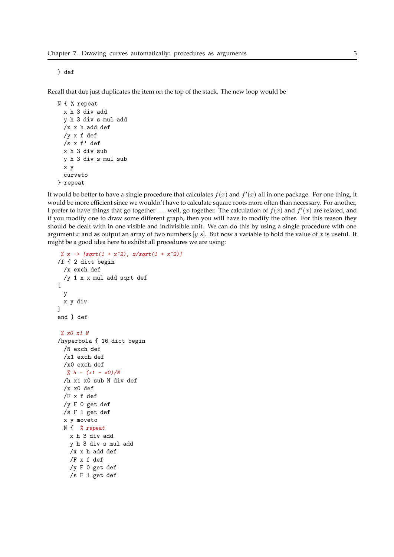Recall that dup just duplicates the item on the top of the stack. The new loop would be

```
N { % repeat
 x h 3 div add
 y h 3 div s mul add
 /x x h add def
 /y x f def
 /s x f' def
 x h 3 div sub
 y h 3 div s mul sub
 x y
 curveto
} repeat
```
It would be better to have a single procedure that calculates  $f(x)$  and  $f'(x)$  all in one package. For one thing, it would be more efficient since we wouldn't have to calculate square roots more often than necessary. For another, I prefer to have things that go together ... well, go together. The calculation of  $f(x)$  and  $f'(x)$  are related, and if you modify one to draw some different graph, then you will have to modify the other. For this reason they should be dealt with in one visible and indivisible unit. We can do this by using a single procedure with one argument x and as output an array of two numbers  $[y s]$ . But now a variable to hold the value of x is useful. It might be a good idea here to exhibit all procedures we are using:

```
% x -> [sqrt(1 + x^2), x/sqrt(1 + x^2)]/f { 2 dict begin
 /x exch def
 /y 1 x x mul add sqrt def
\sqrt{ }y
 x y div
]
end } def
% x0 x1 N
/hyperbola { 16 dict begin
 /N exch def
 /x1 exch def
 /x0 exch def
  % h = (x1 - x0)/N/h x1 x0 sub N div def
 /x \times 0 def
 /F x f def
 /y F 0 get def
 /s F 1 get def
 x y moveto
 N { % repeat
   x h 3 div add
   y h 3 div s mul add
   /x x h add def
   /F x f def
   /y F 0 get def
   /s F 1 get def
```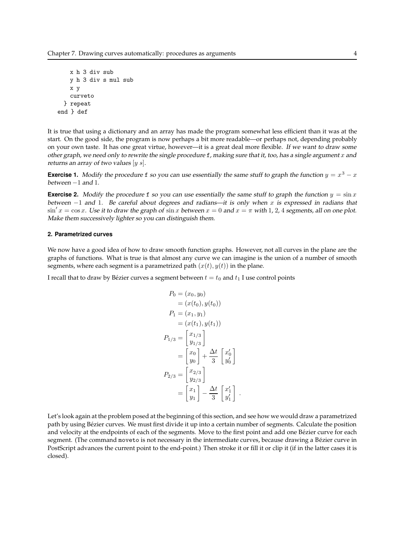```
x h 3 div sub
   y h 3 div s mul sub
   x y
   curveto
 } repeat
end } def
```
It is true that using a dictionary and an array has made the program somewhat less efficient than it was at the start. On the good side, the program is now perhaps a bit more readable—or perhaps not, depending probably on your own taste. It has one great virtue, however—it is a great deal more flexible. If we want to draw some other graph, we need only to rewrite the single procedure  $f$ , making sure that it, too, has a single argument  $x$  and returns an array of two values [ $y$  s].

**Exercise 1.** Modify the procedure f so you can use essentially the same stuff to graph the function  $y = x^3 - x$ between −1 and 1.

**Exercise 2.** Modify the procedure f so you can use essentially the same stuff to graph the function  $y = \sin x$ between  $-1$  and 1. Be careful about degrees and radians—it is only when x is expressed in radians that  $\sin x = \cos x$ . Use it to draw the graph of  $\sin x$  between  $x = 0$  and  $x = \pi$  with 1, 2, 4 segments, all on one plot. Make them successively lighter so you can distinguish them.

# 2. Parametrized curves

We now have a good idea of how to draw smooth function graphs. However, not all curves in the plane are the graphs of functions. What is true is that almost any curve we can imagine is the union of a number of smooth segments, where each segment is a parametrized path  $(x(t), y(t))$  in the plane.

I recall that to draw by Bézier curves a segment between  $t = t_0$  and  $t_1$  I use control points

$$
P_0 = (x_0, y_0)
$$
  
\n
$$
= (x(t_0), y(t_0))
$$
  
\n
$$
P_1 = (x_1, y_1)
$$
  
\n
$$
= (x(t_1), y(t_1))
$$
  
\n
$$
P_{1/3} = \begin{bmatrix} x_{1/3} \\ y_{1/3} \end{bmatrix}
$$
  
\n
$$
= \begin{bmatrix} x_0 \\ y_0 \end{bmatrix} + \frac{\Delta t}{3} \begin{bmatrix} x'_0 \\ y'_0 \end{bmatrix}
$$
  
\n
$$
P_{2/3} = \begin{bmatrix} x_{2/3} \\ y_{2/3} \end{bmatrix}
$$
  
\n
$$
= \begin{bmatrix} x_1 \\ y_1 \end{bmatrix} - \frac{\Delta t}{3} \begin{bmatrix} x'_1 \\ y'_1 \end{bmatrix}
$$

Let's look again at the problem posed at the beginning of this section, and see how we would draw a parametrized path by using Bezier curves. We must first divide it up into a certain number of segments. Calculate the position ´ and velocity at the endpoints of each of the segments. Move to the first point and add one Bézier curve for each segment. (The command moveto is not necessary in the intermediate curves, because drawing a Bézier curve in PostScript advances the current point to the end-point.) Then stroke it or fill it or clip it (if in the latter cases it is closed).

.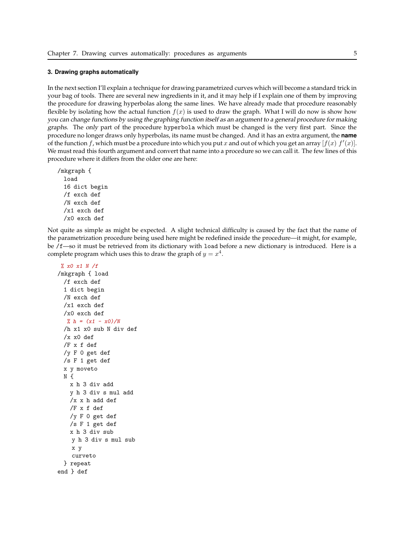#### 3. Drawing graphs automatically

In the next section I'll explain a technique for drawing parametrized curves which will become a standard trick in your bag of tools. There are several new ingredients in it, and it may help if I explain one of them by improving the procedure for drawing hyperbolas along the same lines. We have already made that procedure reasonably flexible by isolating how the actual function  $f(x)$  is used to draw the graph. What I will do now is show how you can change functions by using the graphing function itself as an argument to <sup>a</sup> general procedure for making graphs. The only part of the procedure hyperbola which must be changed is the very first part. Since the procedure no longer draws only hyperbolas, its name must be changed. And it has an extra argument, the **name** of the function f, which must be a procedure into which you put x and out of which you get an array  $[f(x) f'(x)]$ . We must read this fourth argument and convert that name into a procedure so we can call it. The few lines of this procedure where it differs from the older one are here:

/mkgraph { load 16 dict begin /f exch def /N exch def /x1 exch def /x0 exch def

Not quite as simple as might be expected. A slight technical difficulty is caused by the fact that the name of the parametrization procedure being used here might be redefined inside the procedure—it might, for example, be /f—so it must be retrieved from its dictionary with load before a new dictionary is introduced. Here is a complete program which uses this to draw the graph of  $y = x^4$ .

% x0 x1 N /f /mkgraph { load /f exch def 1 dict begin /N exch def /x1 exch def /x0 exch def %  $h = (x1 - x0)/N$ /h x1 x0 sub N div def /x x0 def /F x f def /y F 0 get def /s F 1 get def x y moveto N { x h 3 div add y h 3 div s mul add /x x h add def /F x f def /y F 0 get def /s F 1 get def x h 3 div sub y h 3 div s mul sub x y curveto } repeat end } def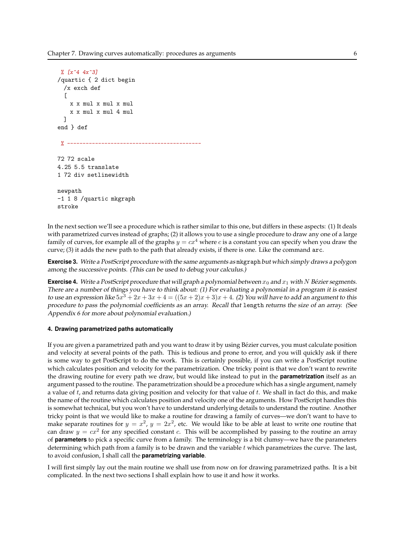```
% \int x^4 4x^3/quartic { 2 dict begin
  /x exch def
  \Gammax x mul x mul x mul
    x x mul x mul 4 mul
  ]
end } def
 y = - - - - - - -72 72 scale
4.25 5.5 translate
1 72 div setlinewidth
newpath
-1 1 8 /quartic mkgraph
stroke
```
In the next section we'll see a procedure which is rather similar to this one, but differs in these aspects: (1) It deals with parametrized curves instead of graphs; (2) it allows you to use a single procedure to draw any one of a large family of curves, for example all of the graphs  $y = cx^4$  where c is a constant you can specify when you draw the curve; (3) it adds the new path to the path that already exists, if there is one. Like the command arc.

**Exercise 3.** Write a PostScript procedure with the same arguments as magraph but which simply draws a polygon among the successive points. (This can be used to debug your calculus.)

**Exercise 4.** Write a PostScript procedure that will graph a polynomial between  $x_0$  and  $x_1$  with N Bézier segments. There are <sup>a</sup> number of things you have to think about: (1) For evaluating <sup>a</sup> polynomial in <sup>a</sup> program it is easiest to use an expression like  $5x^3 + 2x + 3x + 4 = ((5x + 2)x + 3)x + 4$ . (2) You will have to add an argument to this procedure to pass the polynomial coefficients as an array. Recall that length returns the size of an array. (See Appendix <sup>6</sup> for more about polynomial evaluation.)

## 4. Drawing parametrized paths automatically

If you are given a parametrized path and you want to draw it by using Bézier curves, you must calculate position and velocity at several points of the path. This is tedious and prone to error, and you will quickly ask if there is some way to get PostScript to do the work. This is certainly possible, if you can write a PostScript routine which calculates position and velocity for the parametrization. One tricky point is that we don't want to rewrite the drawing routine for every path we draw, but would like instead to put in the **parametrization** itself as an argument passed to the routine. The parametrization should be a procedure which has a single argument, namely a value of  $t$ , and returns data giving position and velocity for that value of  $t$ . We shall in fact do this, and make the name of the routine which calculates position and velocity one of the arguments. How PostScript handles this is somewhat technical, but you won't have to understand underlying details to understand the routine. Another tricky point is that we would like to make a routine for drawing a family of curves—we don't want to have to make separate routines for  $y = x^2$ ,  $y = 2x^2$ , etc. We would like to be able at least to write one routine that can draw  $y = cx^2$  for any specified constant c. This will be accomplished by passing to the routine an array of parameters to pick a specific curve from a family. The terminology is a bit clumsy—we have the parameters determining which path from a family is to be drawn and the variable  $t$  which parametrizes the curve. The last, to avoid confusion, I shall call the parametrizing variable.

I will first simply lay out the main routine we shall use from now on for drawing parametrized paths. It is a bit complicated. In the next two sections I shall explain how to use it and how it works.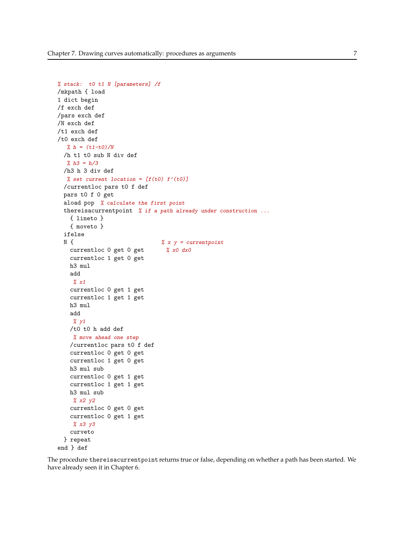```
% stack: t0 t1 N [parameters] /f
/mkpath { load
1 dict begin
/f exch def
/pars exch def
/N exch def
/t1 exch def
/t0 exch def
  % h = (t1-t0)/N/h t1 t0 sub N div def
  % h3 = h/3/h3 h 3 div def
  % set current location = [f(t0) f'(t0)]/currentloc pars t0 f def
 pars t0 f 0 get
 aload pop % calculate the first point
 thereisacurrentpoint % if a path already under construction ...
   { lineto }
   { moveto }
 ifelse
 N \{ \frac{2}{\sqrt{3}} \times y = current point
   currentloc 0 get 0 get % x0 dx0currentloc 1 get 0 get
   h3 mul
   add
    \chi x1
   currentloc 0 get 1 get
   currentloc 1 get 1 get
   h3 mul
   add
    % y1
   /t0 t0 h add def
    % move ahead one step
   /currentloc pars t0 f def
   currentloc 0 get 0 get
   currentloc 1 get 0 get
   h3 mul sub
   currentloc 0 get 1 get
   currentloc 1 get 1 get
   h3 mul sub
    % x2 y2
   currentloc 0 get 0 get
   currentloc 0 get 1 get
    % x3 y3
   curveto
 } repeat
end } def
```
The procedure thereisacurrentpoint returns true or false, depending on whether a path has been started. We have already seen it in Chapter 6.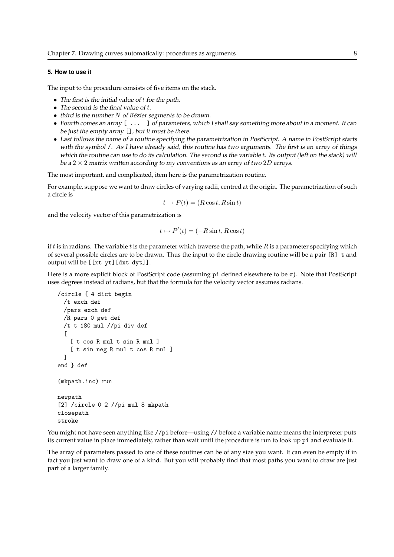## 5. How to use it

The input to the procedure consists of five items on the stack.

- The first is the initial value of t for the path.
- The second is the final value of  $t$ .
- $\bullet$  third is the number N of Bézier segments to be drawn.
- Fourth comes an array  $[\ldots]$  of parameters, which I shall say something more about in a moment. It can be just the empty array [], but it must be there.
- Last follows the name of <sup>a</sup> routine specifying the parametrization in PostScript. <sup>A</sup> name in PostScript starts with the symbol /. As <sup>I</sup> have already said, this routine has two arguments. The first is an array of things which the routine can use to do its calculation. The second is the variable t. Its output (left on the stack) will be a  $2 \times 2$  matrix written according to my conventions as an array of two  $2D$  arrays.

The most important, and complicated, item here is the parametrization routine.

For example, suppose we want to draw circles of varying radii, centred at the origin. The parametrization of such a circle is

$$
t \mapsto P(t) = (R\cos t, R\sin t)
$$

and the velocity vector of this parametrization is

$$
t \mapsto P'(t) = (-R\sin t, R\cos t)
$$

if t is in radians. The variable t is the parameter which traverse the path, while  $R$  is a parameter specifying which of several possible circles are to be drawn. Thus the input to the circle drawing routine will be a pair [R] t and output will be [[xt yt][dxt dyt]].

Here is a more explicit block of PostScript code (assuming pi defined elsewhere to be  $\pi$ ). Note that PostScript uses degrees instead of radians, but that the formula for the velocity vector assumes radians.

```
/circle { 4 dict begin
 /t exch def
 /pars exch def
 /R pars 0 get def
  /t t 180 mul //pi div def
  \Gamma[ t cos R mul t sin R mul ]
    [ t sin neg R mul t cos R mul ]
 ]
end } def
(mkpath.inc) run
newpath
[2] /circle 0 2 //pi mul 8 mkpath
closepath
stroke
```
You might not have seen anything like //pi before—using // before a variable name means the interpreter puts its current value in place immediately, rather than wait until the procedure is run to look up pi and evaluate it.

The array of parameters passed to one of these routines can be of any size you want. It can even be empty if in fact you just want to draw one of a kind. But you will probably find that most paths you want to draw are just part of a larger family.